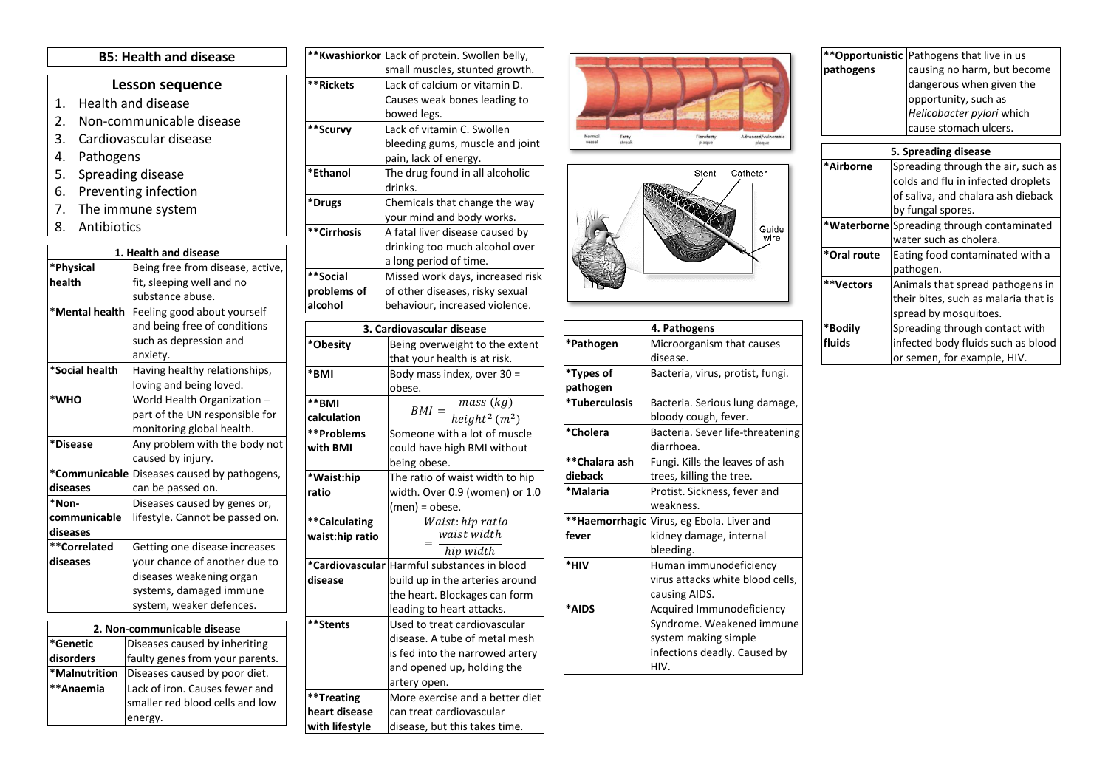## **B5: Health and disease**

## **Lesson sequence**

- 1. Health and disease
- 2. Non-communicable disease
- 3. Cardiovascular disease
- 4. Pathogens
- 5. Spreading disease
- 6. Preventing infection
- 7. The immune system
- 8. Antibiotics

|                             | 1. Health and disease                       |
|-----------------------------|---------------------------------------------|
| *Physical                   | Being free from disease, active,            |
| health                      | fit, sleeping well and no                   |
|                             | substance abuse.                            |
| *Mental health              | Feeling good about yourself                 |
|                             | and being free of conditions                |
|                             | such as depression and                      |
|                             | anxiety.                                    |
| *Social health              | Having healthy relationships,               |
|                             | loving and being loved.                     |
| *WHO                        | World Health Organization -                 |
|                             | part of the UN responsible for              |
|                             | monitoring global health.                   |
| *Disease                    | Any problem with the body not               |
|                             | caused by injury.                           |
|                             | *Communicable Diseases caused by pathogens, |
| diseases                    | can be passed on.                           |
| *Non-                       | Diseases caused by genes or,                |
| communicable                | lifestyle. Cannot be passed on.             |
| diseases                    |                                             |
| **Correlated                | Getting one disease increases               |
| diseases                    | your chance of another due to               |
|                             | diseases weakening organ                    |
|                             | systems, damaged immune                     |
|                             | system, weaker defences.                    |
| 2. Non-communicable disease |                                             |
| *Genetic                    | Diseases caused by inheriting               |
| disorders                   | faulty genes from your parents.             |
| *Malnutrition               | Diseases caused by poor diet.               |
| **Anaemia                   | Lack of iron. Causes fewer and              |
|                             | smaller red blood cells and low             |
|                             | energy.                                     |

|                 | <b>**Kwashiorkor</b> Lack of protein. Swollen belly, |
|-----------------|------------------------------------------------------|
|                 | small muscles, stunted growth.                       |
| **Rickets       | Lack of calcium or vitamin D.                        |
|                 | Causes weak bones leading to                         |
|                 | bowed legs.                                          |
| **Scurvy        | Lack of vitamin C. Swollen                           |
|                 | bleeding gums, muscle and joint                      |
|                 | pain, lack of energy.                                |
| *Ethanol        | The drug found in all alcoholic                      |
|                 | drinks.                                              |
| *Drugs          | Chemicals that change the way                        |
|                 | your mind and body works.                            |
| **Cirrhosis     | A fatal liver disease caused by                      |
|                 | drinking too much alcohol over                       |
|                 | a long period of time.                               |
| **Social        | Missed work days, increased risk                     |
| problems of     | of other diseases, risky sexual                      |
| alcohol         | behaviour, increased violence.                       |
|                 |                                                      |
|                 | 3. Cardiovascular disease                            |
| *Obesity        | Being overweight to the extent                       |
|                 | that your health is at risk.                         |
| *BMI            | Body mass index, over 30 =                           |
|                 | obese.                                               |
| **BMI           | $\overline{mass}$ (kg)<br>$BMI =$                    |
| calculation     | $height2$ (m <sup>2</sup> )                          |
| **Problems      | Someone with a lot of muscle                         |
| with BMI        | could have high BMI without                          |
|                 | being obese.                                         |
| *Waist:hip      | The ratio of waist width to hip                      |
| ratio           | width. Over 0.9 (women) or 1.0                       |
|                 | (men) = obese.                                       |
| **Calculating   | Waist: hip ratio                                     |
| waist:hip ratio | waist width                                          |
|                 | hip width                                            |
| *Cardiovascular | Harmful substances in blood                          |
| disease         | build up in the arteries around                      |
|                 | the heart. Blockages can form                        |
|                 | leading to heart attacks.                            |
| **Stents        | Used to treat cardiovascular                         |
|                 | disease. A tube of metal mesh                        |
|                 | is fed into the narrowed artery                      |
|                 | and opened up, holding the                           |
|                 | artery open.                                         |
| **Treating      | More exercise and a better diet                      |
| heart disease   | can treat cardiovascular                             |
| with lifestyle  | disease, but this takes time.                        |





| 4. Pathogens  |                                           |
|---------------|-------------------------------------------|
| *Pathogen     | Microorganism that causes                 |
|               | disease.                                  |
| *Types of     | Bacteria, virus, protist, fungi.          |
| pathogen      |                                           |
| *Tuberculosis | Bacteria. Serious lung damage,            |
|               | bloody cough, fever.                      |
| *Cholera      | Bacteria. Sever life-threatening          |
|               | diarrhoea.                                |
| **Chalara ash | Fungi. Kills the leaves of ash            |
| dieback       | trees, killing the tree.                  |
| *Malaria      | Protist. Sickness, fever and              |
|               | weakness.                                 |
|               | **Haemorrhagic Virus, eg Ebola. Liver and |
| fever         | kidney damage, internal                   |
|               | bleeding.                                 |
| *HIV          | Human immunodeficiency                    |
|               | virus attacks white blood cells,          |
|               | causing AIDS.                             |
| *AIDS         | Acquired Immunodeficiency                 |
|               | Syndrome. Weakened immune                 |
|               | system making simple                      |
|               | infections deadly. Caused by              |
|               | HIV.                                      |

|           | ** Opportunistic Pathogens that live in us |
|-----------|--------------------------------------------|
| pathogens | causing no harm, but become                |
|           | dangerous when given the                   |
|           | opportunity, such as                       |
|           | Helicobacter pylori which                  |
|           | cause stomach ulcers.                      |
|           |                                            |
|           | 5. Spreading disease                       |
| *Airborne | Spreading through the air, such as         |
|           | colds and flu in infected droplets         |
|           | of saliva, and chalara ash dieback         |
|           |                                            |

|             | by fungal spores.                          |
|-------------|--------------------------------------------|
|             | *Waterborne Spreading through contaminated |
|             | water such as cholera.                     |
| *Oral route | Eating food contaminated with a            |
|             | pathogen.                                  |
| **Vectors   | Animals that spread pathogens in           |
|             | their bites, such as malaria that is       |
|             | spread by mosquitoes.                      |
| *Bodily     | Spreading through contact with             |
| fluids      | infected body fluids such as blood         |
|             | or semen, for example, HIV.                |